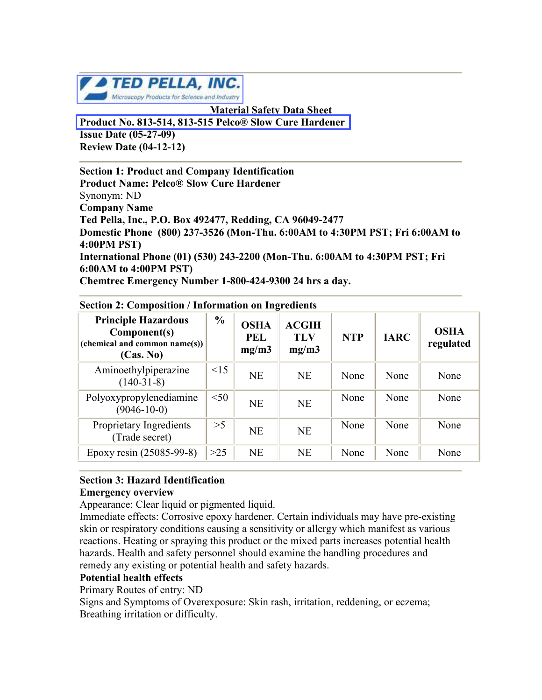

**Material Safety Data Sheet [Product No. 813-514, 813-515 Pelco® Slow Cure Hardener](http://www.tedpella.com/material_html/mount.htm#813-500)  Issue Date (05-27-09) Review Date (04-12-12)**

**Section 1: Product and Company Identification Product Name: Pelco® Slow Cure Hardener** Synonym: ND **Company Name Ted Pella, Inc., P.O. Box 492477, Redding, CA 96049-2477 Domestic Phone (800) 237-3526 (Mon-Thu. 6:00AM to 4:30PM PST; Fri 6:00AM to 4:00PM PST) International Phone (01) (530) 243-2200 (Mon-Thu. 6:00AM to 4:30PM PST; Fri 6:00AM to 4:00PM PST) Chemtrec Emergency Number 1-800-424-9300 24 hrs a day.**

| <b>Principle Hazardous</b><br>Component(s)<br>(chemical and common name(s))<br>(Cas. No) | $\frac{0}{0}$ | <b>OSHA</b><br><b>PEL</b><br>mg/m3 | <b>ACGIH</b><br><b>TLV</b><br>mg/m3 | <b>NTP</b> | <b>IARC</b> | <b>OSHA</b><br>regulated |
|------------------------------------------------------------------------------------------|---------------|------------------------------------|-------------------------------------|------------|-------------|--------------------------|
| Aminoethylpiperazine<br>$(140-31-8)$                                                     | $\leq$ 15     | <b>NE</b>                          | <b>NE</b>                           | None       | None        | None                     |
| Polyoxypropylenediamine<br>$(9046 - 10 - 0)$                                             | < 50          | <b>NE</b>                          | <b>NE</b>                           | None       | None        | None                     |
| Proprietary Ingredients<br>(Trade secret)                                                | >5            | <b>NE</b>                          | <b>NE</b>                           | None       | None        | None                     |
| Epoxy resin (25085-99-8)                                                                 | $>25$         | <b>NE</b>                          | <b>NE</b>                           | None       | None        | None                     |

### **Section 2: Composition / Information on Ingredients**

#### **Section 3: Hazard Identification Emergency overview**

Appearance: Clear liquid or pigmented liquid.

Immediate effects: Corrosive epoxy hardener. Certain individuals may have pre-existing skin or respiratory conditions causing a sensitivity or allergy which manifest as various reactions. Heating or spraying this product or the mixed parts increases potential health hazards. Health and safety personnel should examine the handling procedures and remedy any existing or potential health and safety hazards.

# **Potential health effects**

Primary Routes of entry: ND

Signs and Symptoms of Overexposure: Skin rash, irritation, reddening, or eczema; Breathing irritation or difficulty.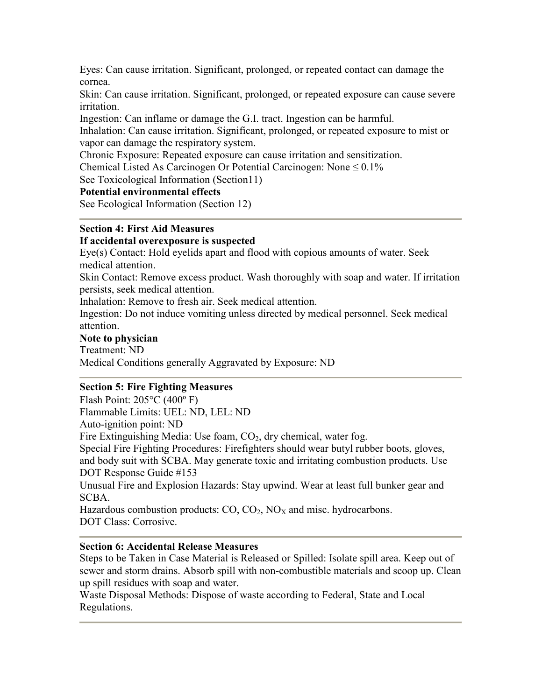Eyes: Can cause irritation. Significant, prolonged, or repeated contact can damage the cornea.

Skin: Can cause irritation. Significant, prolonged, or repeated exposure can cause severe irritation.

Ingestion: Can inflame or damage the G.I. tract. Ingestion can be harmful.

Inhalation: Can cause irritation. Significant, prolonged, or repeated exposure to mist or vapor can damage the respiratory system.

Chronic Exposure: Repeated exposure can cause irritation and sensitization.

Chemical Listed As Carcinogen Or Potential Carcinogen: None  $\leq 0.1\%$ 

See Toxicological Information (Section11)

# **Potential environmental effects**

See Ecological Information (Section 12)

# **Section 4: First Aid Measures**

## **If accidental overexposure is suspected**

Eye(s) Contact: Hold eyelids apart and flood with copious amounts of water. Seek medical attention.

Skin Contact: Remove excess product. Wash thoroughly with soap and water. If irritation persists, seek medical attention.

Inhalation: Remove to fresh air. Seek medical attention.

Ingestion: Do not induce vomiting unless directed by medical personnel. Seek medical attention.

## **Note to physician**

Treatment: ND Medical Conditions generally Aggravated by Exposure: ND

# **Section 5: Fire Fighting Measures**

Flash Point: 205°C (400º F) Flammable Limits: UEL: ND, LEL: ND Auto-ignition point: ND Fire Extinguishing Media: Use foam,  $CO<sub>2</sub>$ , dry chemical, water fog. Special Fire Fighting Procedures: Firefighters should wear butyl rubber boots, gloves, and body suit with SCBA. May generate toxic and irritating combustion products. Use DOT Response Guide #153 Unusual Fire and Explosion Hazards: Stay upwind. Wear at least full bunker gear and SCBA. Hazardous combustion products:  $CO$ ,  $CO<sub>2</sub>$ ,  $NO<sub>X</sub>$  and misc. hydrocarbons. DOT Class: Corrosive.

# **Section 6: Accidental Release Measures**

Steps to be Taken in Case Material is Released or Spilled: Isolate spill area. Keep out of sewer and storm drains. Absorb spill with non-combustible materials and scoop up. Clean up spill residues with soap and water.

Waste Disposal Methods: Dispose of waste according to Federal, State and Local Regulations.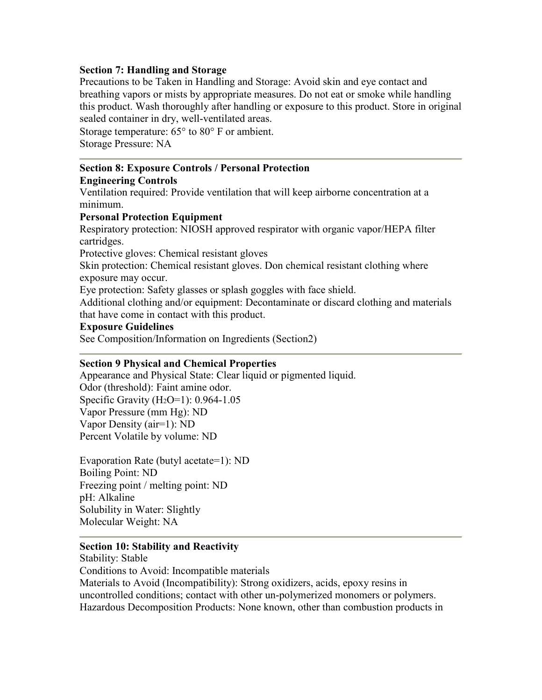# **Section 7: Handling and Storage**

Precautions to be Taken in Handling and Storage: Avoid skin and eye contact and breathing vapors or mists by appropriate measures. Do not eat or smoke while handling this product. Wash thoroughly after handling or exposure to this product. Store in original sealed container in dry, well-ventilated areas.

Storage temperature: 65° to 80° F or ambient. Storage Pressure: NA

# **Section 8: Exposure Controls / Personal Protection**

# **Engineering Controls**

Ventilation required: Provide ventilation that will keep airborne concentration at a minimum.

# **Personal Protection Equipment**

Respiratory protection: NIOSH approved respirator with organic vapor/HEPA filter cartridges.

Protective gloves: Chemical resistant gloves

Skin protection: Chemical resistant gloves. Don chemical resistant clothing where exposure may occur.

Eye protection: Safety glasses or splash goggles with face shield.

Additional clothing and/or equipment: Decontaminate or discard clothing and materials that have come in contact with this product.

## **Exposure Guidelines**

See Composition/Information on Ingredients (Section2)

# **Section 9 Physical and Chemical Properties**

Appearance and Physical State: Clear liquid or pigmented liquid. Odor (threshold): Faint amine odor. Specific Gravity  $(H_2O=1)$ : 0.964-1.05 Vapor Pressure (mm Hg): ND Vapor Density (air=1): ND Percent Volatile by volume: ND

Evaporation Rate (butyl acetate=1): ND Boiling Point: ND Freezing point / melting point: ND pH: Alkaline Solubility in Water: Slightly Molecular Weight: NA

## **Section 10: Stability and Reactivity**

Stability: Stable Conditions to Avoid: Incompatible materials Materials to Avoid (Incompatibility): Strong oxidizers, acids, epoxy resins in uncontrolled conditions; contact with other un-polymerized monomers or polymers. Hazardous Decomposition Products: None known, other than combustion products in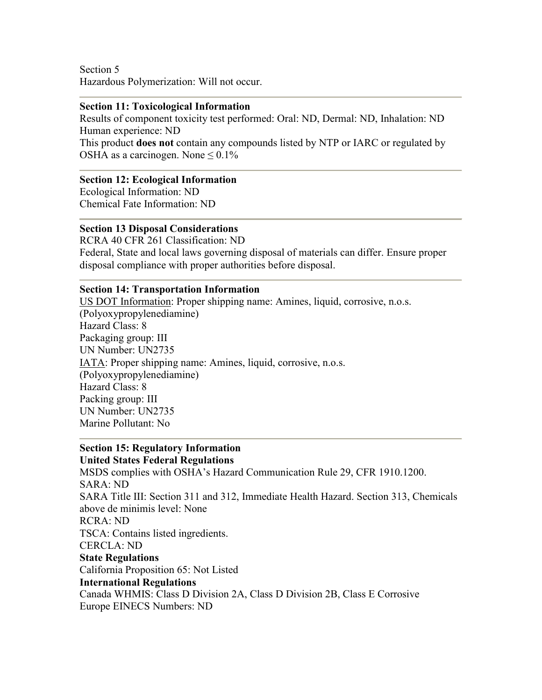Section 5 Hazardous Polymerization: Will not occur.

#### **Section 11: Toxicological Information**

Results of component toxicity test performed: Oral: ND, Dermal: ND, Inhalation: ND Human experience: ND

This product **does not** contain any compounds listed by NTP or IARC or regulated by OSHA as a carcinogen. None  $\leq 0.1\%$ 

## **Section 12: Ecological Information**

Ecological Information: ND Chemical Fate Information: ND

#### **Section 13 Disposal Considerations**

RCRA 40 CFR 261 Classification: ND Federal, State and local laws governing disposal of materials can differ. Ensure proper disposal compliance with proper authorities before disposal.

#### **Section 14: Transportation Information**

US DOT Information: Proper shipping name: Amines, liquid, corrosive, n.o.s. (Polyoxypropylenediamine) Hazard Class: 8 Packaging group: III UN Number: UN2735 IATA: Proper shipping name: Amines, liquid, corrosive, n.o.s. (Polyoxypropylenediamine) Hazard Class: 8 Packing group: III UN Number: UN2735 Marine Pollutant: No

#### **Section 15: Regulatory Information United States Federal Regulations**

MSDS complies with OSHA's Hazard Communication Rule 29, CFR 1910.1200. SARA: ND SARA Title III: Section 311 and 312, Immediate Health Hazard. Section 313, Chemicals above de minimis level: None RCRA: ND TSCA: Contains listed ingredients. CERCLA: ND **State Regulations** California Proposition 65: Not Listed **International Regulations** Canada WHMIS: Class D Division 2A, Class D Division 2B, Class E Corrosive Europe EINECS Numbers: ND